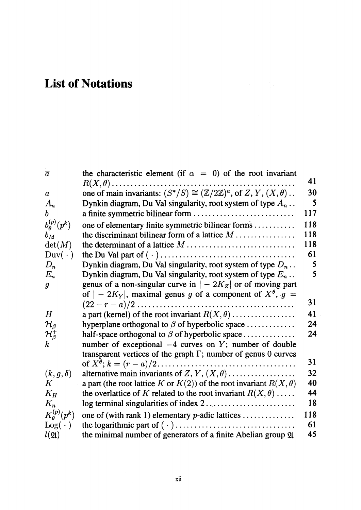## List of Notations

| $\bar{a}$               | the characteristic element (if $\alpha = 0$ ) of the root invariant                           |     |
|-------------------------|-----------------------------------------------------------------------------------------------|-----|
|                         |                                                                                               | 41  |
| $\pmb{a}$               | one of main invariants: $(S^*/S) \cong (\mathbb{Z}/2\mathbb{Z})^a$ , of Z, Y, $(X, \theta)$ . | 30  |
| $A_n$                   | Dynkin diagram, Du Val singularity, root system of type $A_n$ .                               | 5   |
| b                       |                                                                                               | 117 |
| $b_{\theta}^{(p)}(p^k)$ | one of elementary finite symmetric bilinear forms                                             | 118 |
| $b_M$                   | the discriminant bilinear form of a lattice $M$                                               | 118 |
| $\det(M)$               |                                                                                               | 118 |
| $\text{Duv}(\cdot)$     |                                                                                               | 61  |
| $D_n$                   | Dynkin diagram, Du Val singularity, root system of type $D_n$ .                               | 5   |
| $E_n$                   | Dynkin diagram, Du Val singularity, root system of type $E_n$ .                               | 5   |
| $\boldsymbol{g}$        | genus of a non-singular curve in $ -2K_Z $ or of moving part                                  |     |
|                         | of $ -2K_Y $ , maximal genus g of a component of $X^{\theta}$ , $g =$                         |     |
|                         |                                                                                               | 31  |
| $H_{\rm}$               | a part (kernel) of the root invariant $R(X, \theta)$                                          | 41  |
| $\mathcal{H}_{\beta}$   | hyperplane orthogonal to $\beta$ of hyperbolic space                                          | 24  |
| $\mathcal{H}^+_\beta$   | half-space orthogonal to $\beta$ of hyperbolic space                                          | 24  |
| $\boldsymbol{k}$        | number of exceptional $-4$ curves on Y; number of double                                      |     |
|                         | transparent vertices of the graph $\Gamma$ ; number of genus 0 curves                         |     |
|                         |                                                                                               | 31  |
| $(k, g, \delta)$        | alternative main invariants of Z, Y, $(X, \theta)$                                            | 32  |
| $\pmb{K}$               | a part (the root lattice K or $K(2)$ ) of the root invariant $R(X, \theta)$                   | 40  |
| $K_H$                   | the overlattice of K related to the root invariant $R(X, \theta)$                             | 44  |
| $K_n$                   |                                                                                               | 18  |
| $K^{(p)}_{\theta}(p^k)$ | one of (with rank 1) elementary $p$ -adic lattices                                            | 118 |
| $Log( \cdot )$          |                                                                                               | 61  |
| $l(\mathfrak{A})$       | the minimal number of generators of a finite Abelian group 21                                 | 45  |

 $\ddot{\phantom{0}}$ 

 $\bar{z}$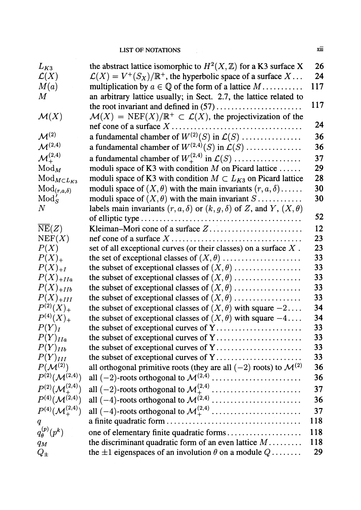## LIST OF NOTATIONS XIII

| the abstract lattice isomorphic to $H^2(X, \mathbb{Z})$ for a K3 surface X<br>$\mathcal{L}(X) = V^+(S_X)/\mathbb{R}^+$ , the hyperbolic space of a surface $X \dots$<br>$\mathcal{L}(X)$<br>M(a)<br>multiplication by $a \in \mathbb{Q}$ of the form of a lattice $M$<br>$\,M_{\rm}$<br>an arbitrary lattice usually; in Sect. 2.7, the lattice related to | 24<br>117  |
|------------------------------------------------------------------------------------------------------------------------------------------------------------------------------------------------------------------------------------------------------------------------------------------------------------------------------------------------------------|------------|
|                                                                                                                                                                                                                                                                                                                                                            |            |
|                                                                                                                                                                                                                                                                                                                                                            |            |
|                                                                                                                                                                                                                                                                                                                                                            |            |
|                                                                                                                                                                                                                                                                                                                                                            | 117        |
| $\mathcal{M}(X) = \text{NEF}(X)/\mathbb{R}^+ \subset \mathcal{L}(X)$ , the projectivization of the<br>$\mathcal{M}(X)$                                                                                                                                                                                                                                     |            |
|                                                                                                                                                                                                                                                                                                                                                            | 24         |
| a fundamental chamber of $W^{(2)}(S)$ in $\mathcal{L}(S)$<br>$\mathcal{M}^{(2)}$                                                                                                                                                                                                                                                                           | 36         |
| $\mathcal{M}^{(2,4)}$<br>a fundamental chamber of $W^{(2,4)}(S)$ in $\mathcal{L}(S)$                                                                                                                                                                                                                                                                       | 36         |
| $\mathcal{M}^{(2,4)}_+$<br>a fundamental chamber of $W^{(2,4)}_+$ in $\mathcal{L}(S)$                                                                                                                                                                                                                                                                      | 37         |
| moduli space of K3 with condition $M$ on Picard lattice<br>$\mathrm{Mod}_M$                                                                                                                                                                                                                                                                                | 29         |
| moduli space of K3 with condition $M \subset L_{K3}$ on Picard lattice<br>$Mod_{MCL_{K3}}$                                                                                                                                                                                                                                                                 | 28         |
| moduli space of $(X, \theta)$ with the main invariants $(r, a, \delta)$<br>$\mathrm{Mod}_{(r,a,\delta)}$                                                                                                                                                                                                                                                   | 30         |
| moduli space of $(X, \theta)$ with the main invariant $S$<br>$Mod'_{S}$                                                                                                                                                                                                                                                                                    | 30         |
| $N_{\rm}$<br>labels main invariants $(r, a, \delta)$ or $(k, g, \delta)$ of Z, and Y, $(X, \theta)$                                                                                                                                                                                                                                                        |            |
|                                                                                                                                                                                                                                                                                                                                                            | 52         |
| $\overline{\text{NE}}(Z)$                                                                                                                                                                                                                                                                                                                                  | 12         |
| NEF(X)                                                                                                                                                                                                                                                                                                                                                     | 23         |
| P(X)<br>set of all exceptional curves (or their classes) on a surface $X$ .                                                                                                                                                                                                                                                                                | 23         |
| $P(X)_+$                                                                                                                                                                                                                                                                                                                                                   | 33         |
| the subset of exceptional classes of $(X, \theta)$<br>$P(X)_{+I}$                                                                                                                                                                                                                                                                                          | 33         |
| the subset of exceptional classes of $(X, \theta)$<br>$P(X)_{+IIa}$                                                                                                                                                                                                                                                                                        | 33         |
| $P(X)_{+IIB}$<br>the subset of exceptional classes of $(X, \theta)$                                                                                                                                                                                                                                                                                        | 33         |
| the subset of exceptional classes of $(X, \theta)$<br>$P(X)_{+III}$                                                                                                                                                                                                                                                                                        | 33         |
| $P^{(2)}(X)_+$<br>the subset of exceptional classes of $(X, \theta)$ with square $-2$                                                                                                                                                                                                                                                                      | 34         |
| $P^{(4)}(X)_+$<br>the subset of exceptional classes of $(X, \theta)$ with square $-4$                                                                                                                                                                                                                                                                      | 34         |
| $P(Y)_{I}$<br>the subset of exceptional curves of Y                                                                                                                                                                                                                                                                                                        | 33         |
| $P(Y)_{IIa}$                                                                                                                                                                                                                                                                                                                                               | 33         |
| the subset of exceptional curves of Y<br>$P(Y)_{IIb}$                                                                                                                                                                                                                                                                                                      | 33         |
| $P(Y)_{III}$                                                                                                                                                                                                                                                                                                                                               | 33         |
| $P(\mathcal{M}^{(2)})$<br>all orthogonal primitive roots (they are all $(-2)$ roots) to $\mathcal{M}^{(2)}$                                                                                                                                                                                                                                                | 36         |
| $P^{(2)}(\mathcal{M}^{(2,4)})$                                                                                                                                                                                                                                                                                                                             | 36         |
| $P^{(2)}(\mathcal{M}^{(2,4)}_+)$                                                                                                                                                                                                                                                                                                                           | 37         |
| $P^{(4)}(\mathcal{M}^{(2,4)})$                                                                                                                                                                                                                                                                                                                             | 36         |
| $P^{(4)}(\mathcal{M}_+^{(2,4)})$                                                                                                                                                                                                                                                                                                                           | 37         |
| q                                                                                                                                                                                                                                                                                                                                                          | 118        |
| $q_{\theta}^{(p)}(p^k)$<br>one of elementary finite quadratic forms                                                                                                                                                                                                                                                                                        | 118        |
| the discriminant quadratic form of an even lattice $M$<br>$q_M$                                                                                                                                                                                                                                                                                            | <b>118</b> |
| the $\pm 1$ eigenspaces of an involution $\theta$ on a module $Q$<br>$Q_{\pm}$                                                                                                                                                                                                                                                                             | 29         |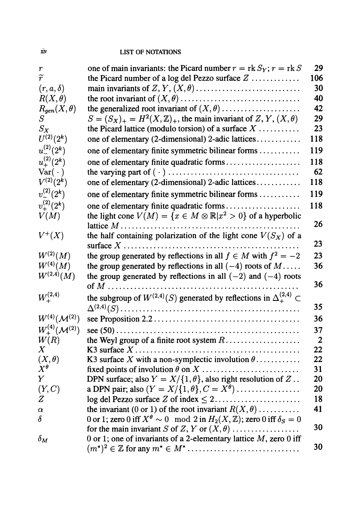## $\dot{x}$ iv LIST OF NOTATIONS

| $\pmb{r}$                      | one of main invariants: the Picard number $r = \text{rk } S_Y$ ; $r = \text{rk } S$               | 29             |
|--------------------------------|---------------------------------------------------------------------------------------------------|----------------|
| $\widetilde{r}$                | the Picard number of a log del Pezzo surface $Z$                                                  | 106            |
| $(r, a, \delta)$               |                                                                                                   | 30             |
| $R(X, \theta)$                 |                                                                                                   | 40             |
| $R_{gen}(X,\theta)$            | the generalized root invariant of $(X, \theta)$                                                   | 42             |
| $S_{\cdot}$                    | $S = (S_X)_+ = H^2(X, \mathbb{Z})_+$ , the main invariant of Z, Y, $(X, \theta)$                  | 29             |
| $S_X$                          | the Picard lattice (modulo torsion) of a surface $X$                                              | 23             |
| $U^{(2)}(2^k)$                 | one of elementary (2-dimensional) 2-adic lattices                                                 | 118            |
| $u_{-}^{(2)}(2^k)$             | one of elementary finite symmetric bilinear forms                                                 | 119            |
| $u_{+}^{(2)}(2^k)$             | one of elementary finite quadratic forms                                                          | 118            |
| $Var(\cdot)$                   |                                                                                                   | 62             |
| $V^{(2)}(2^k)$                 | one of elementary (2-dimensional) 2-adic lattices                                                 | 118            |
| $v^{(2)}_-(2^k)$               | one of elementary finite symmetric bilinear forms                                                 | 119            |
| $v^{(2)}_{+}(2^k)$             | one of elementary finite quadratic forms                                                          | 118            |
| V(M)                           | the light cone $V(M) = \{x \in M \otimes \mathbb{R}   x^2 > 0\}$ of a hyperbolic                  |                |
|                                |                                                                                                   | 26             |
| $V^+(X)$                       | the half containing polarization of the light cone $V(S_X)$ of a                                  |                |
|                                |                                                                                                   | 23             |
| $W^{(2)}(M)$                   | the group generated by reflections in all $f \in M$ with $f^2 = -2$                               | 23             |
| $W^{(4)}(M)$                   | the group generated by reflections in all $(-4)$ roots of $M$                                     | 36             |
| $W^{(2,4)}(M)$                 | the group generated by reflections in all $(-2)$ and $(-4)$ roots                                 |                |
|                                |                                                                                                   | 36             |
| $W^{(2,4)}_+$                  | the subgroup of $W^{(2,4)}(S)$ generated by reflections in $\Delta_{+}^{(2,4)}$ $\subset$         |                |
|                                |                                                                                                   | 35             |
| $W^{(4)}(\mathcal{M}^{(2)})$   |                                                                                                   | 36             |
| $W^{(4)}_+(\mathcal{M}^{(2)})$ |                                                                                                   | 37             |
| W(R)                           |                                                                                                   | $\overline{2}$ |
| $\boldsymbol{X}$               |                                                                                                   | 22             |
| $(X, \theta)$                  | K3 surface X with a non-symplectic involution $\theta$                                            | 22             |
| $X^{\theta}$                   |                                                                                                   | 31             |
| Y                              | DPN surface; also $Y = X/\{1, \theta\}$ , also right resolution of Z                              | 20             |
| (Y, C)                         | a DPN pair; also $(Y = X/\{1, \theta\}, C = X^{\theta}) \dots \dots \dots \dots$                  | 20             |
| Z                              |                                                                                                   | 18             |
| $\alpha$                       | the invariant (0 or 1) of the root invariant $R(X, \theta)$                                       | 41             |
| $\delta$                       | 0 or 1; zero 0 iff $X^{\theta} \sim 0 \mod 2$ in $H_2(X, \mathbb{Z})$ ; zero 0 iff $\delta_S = 0$ |                |
|                                | for the main invariant S of Z, Y or $(X, \theta)$                                                 | 30             |
| $\delta_M$                     | 0 or 1; one of invariants of a 2-elementary lattice $M$ , zero 0 iff                              |                |
|                                |                                                                                                   | 30             |